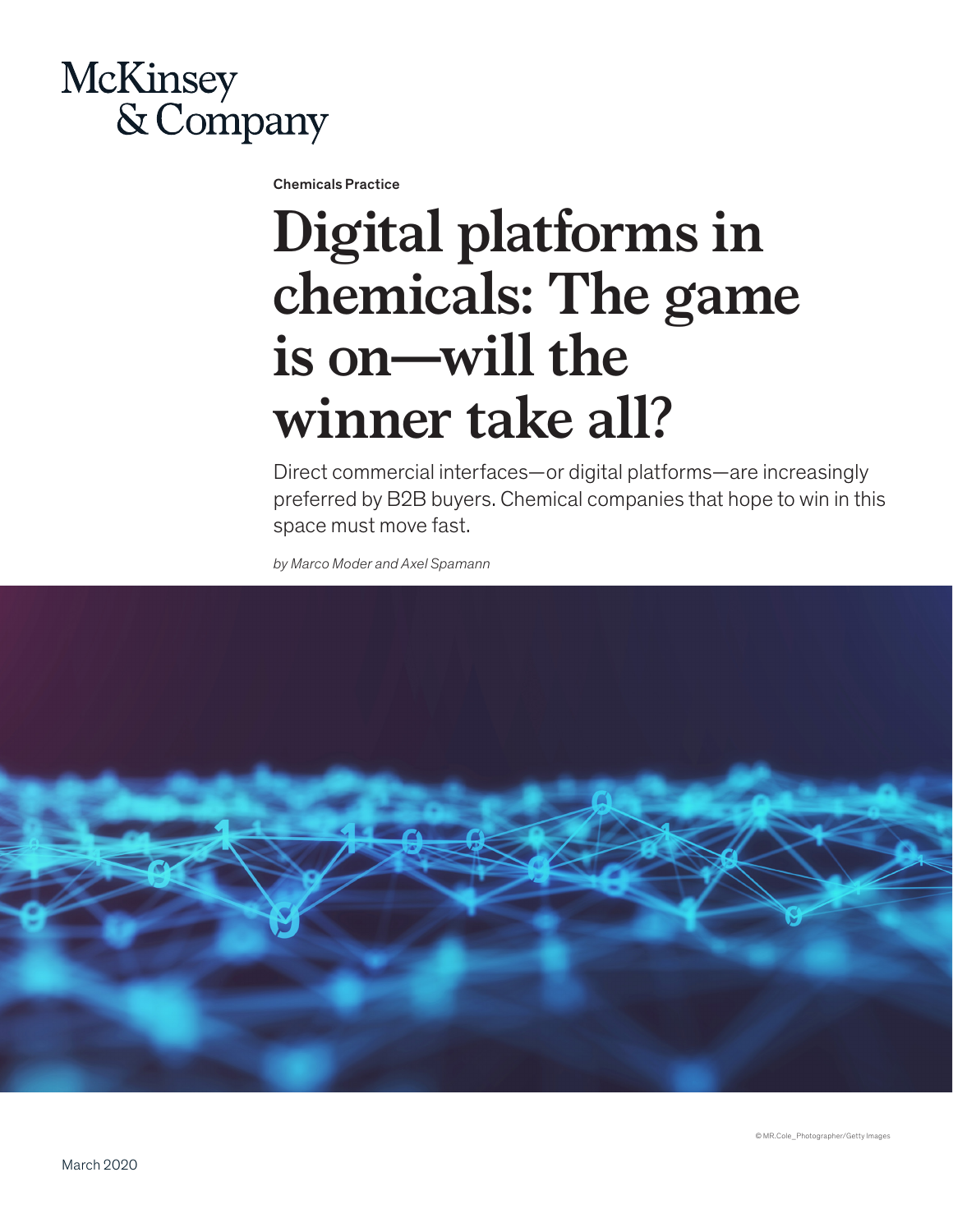

Chemicals Practice

## **Digital platforms in chemicals: The game is on—will the winner take all?**

Direct commercial interfaces—or digital platforms—are increasingly preferred by B2B buyers. Chemical companies that hope to win in this space must move fast.

*by Marco Moder and Axel Spamann*

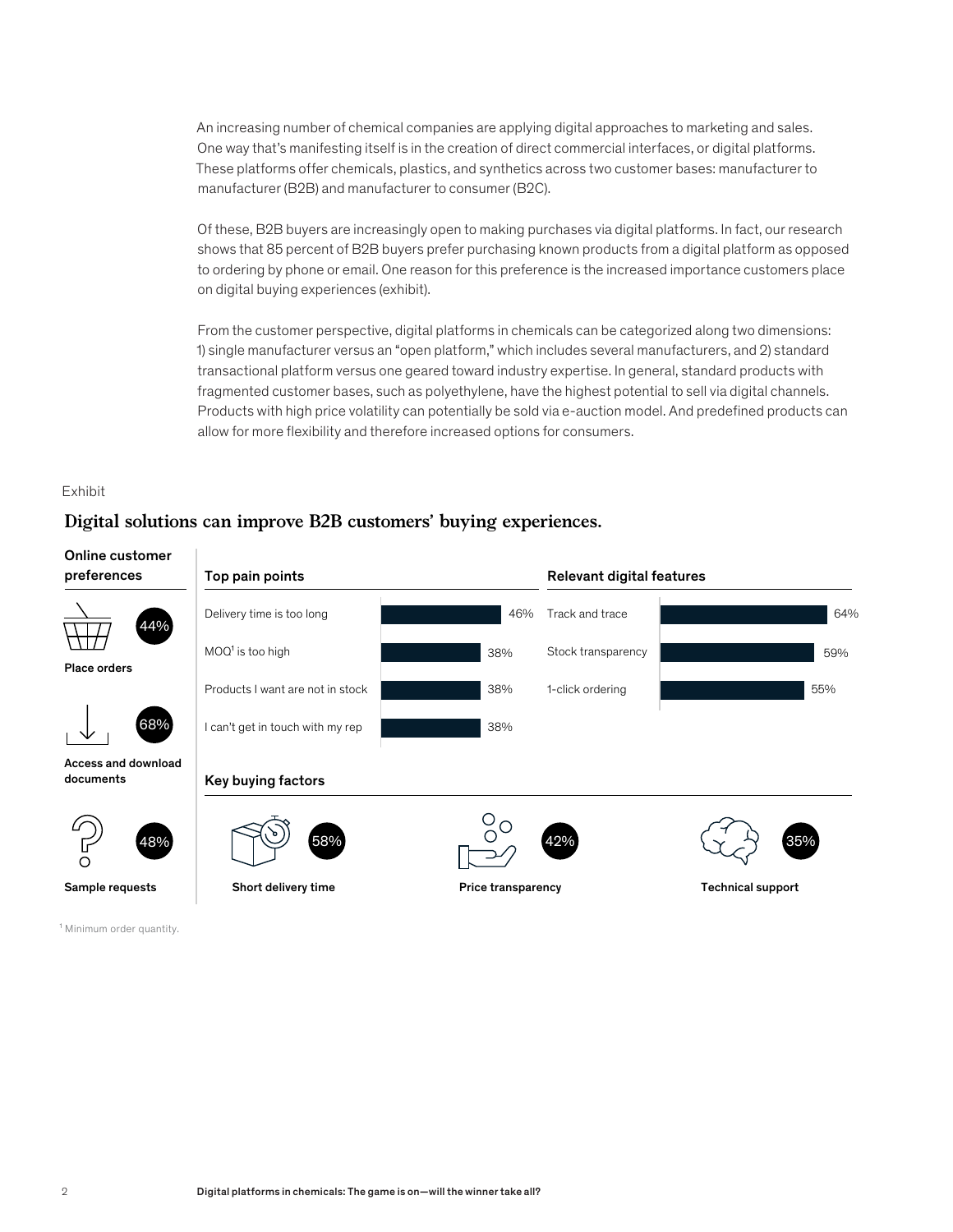An increasing number of chemical companies are applying digital approaches to marketing and sales. One way that's manifesting itself is in the creation of direct commercial interfaces, or digital platforms. These platforms offer chemicals, plastics, and synthetics across two customer bases: manufacturer to manufacturer (B2B) and manufacturer to consumer (B2C).

Of these, B2B buyers are increasingly open to making purchases via digital platforms. In fact, our research shows that 85 percent of B2B buyers prefer purchasing known products from a digital platform as opposed to ordering by phone or email. One reason for this preference is the increased importance customers place on digital buying experiences (exhibit).

From the customer perspective, digital platforms in chemicals can be categorized along two dimensions: 1) single manufacturer versus an "open platform," which includes several manufacturers, and 2) standard transactional platform versus one geared toward industry expertise. In general, standard products with fragmented customer bases, such as polyethylene, have the highest potential to sell via digital channels. Products with high price volatility can potentially be sold via e-auction model. And predefined products can allow for more flexibility and therefore increased options for consumers.

## Exhibit

## **Digital solutions can improve B2B customers' buying experiences.**



<sup>1</sup> Minimum order quantity.